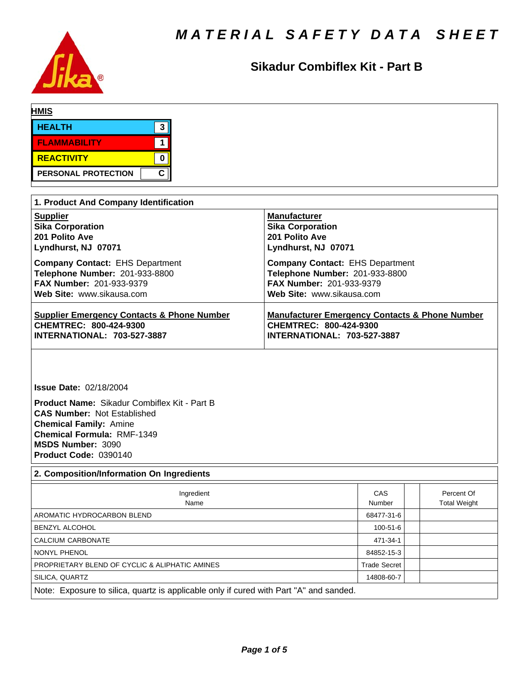

## **Sikadur Combiflex Kit - Part B**

| <b>HMIS</b>         |   |
|---------------------|---|
| <b>HEALTH</b>       | ≏ |
| <b>FLAMMABILITY</b> |   |
| <b>REACTIVITY</b>   |   |
| PERSONAL PROTECTION | C |

| 1. Product And Company Identification                 |                                                           |
|-------------------------------------------------------|-----------------------------------------------------------|
| <b>Supplier</b>                                       | <b>Manufacturer</b>                                       |
| <b>Sika Corporation</b>                               | <b>Sika Corporation</b>                                   |
| 201 Polito Ave                                        | 201 Polito Ave                                            |
| Lyndhurst, NJ 07071                                   | Lyndhurst, NJ 07071                                       |
| <b>Company Contact: EHS Department</b>                | <b>Company Contact: EHS Department</b>                    |
| Telephone Number: 201-933-8800                        | Telephone Number: 201-933-8800                            |
| <b>FAX Number: 201-933-9379</b>                       | FAX Number: 201-933-9379                                  |
| Web Site: www.sikausa.com                             | Web Site: www.sikausa.com                                 |
| <b>Supplier Emergency Contacts &amp; Phone Number</b> | <b>Manufacturer Emergency Contacts &amp; Phone Number</b> |
| CHEMTREC: 800-424-9300                                | CHEMTREC: 800-424-9300                                    |
| <b>INTERNATIONAL: 703-527-3887</b>                    | <b>INTERNATIONAL: 703-527-3887</b>                        |

**Issue Date:** 02/18/2004

**Product Name:** Sikadur Combiflex Kit - Part B **CAS Number:** Not Established **Chemical Family:** Amine **Chemical Formula:** RMF-1349 **MSDS Number:** 3090 **Product Code:** 0390140

### **2. Composition/Information On Ingredients** Ingredient **CAS** Percent Of Name Name Number Number Total Weight AROMATIC HYDROCARBON BLEND 68477-31-6 BENZYL ALCOHOL 2009 100-51-6 CALCIUM CARBONATE 471-34-1 NONYL PHENOL 84852-15-3 PROPRIETARY BLEND OF CYCLIC & ALIPHATIC AMINES TRADE TRADE Trade Secret SILICA, QUARTZ 14808-60-7 Note: Exposure to silica, quartz is applicable only if cured with Part "A" and sanded.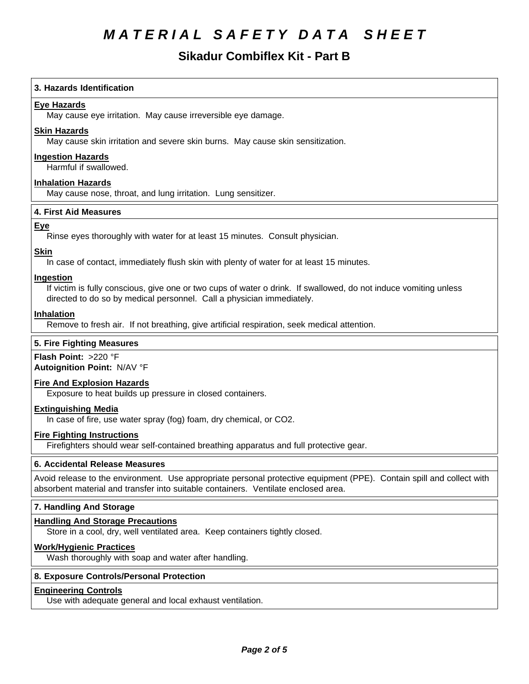## **Sikadur Combiflex Kit - Part B**

#### **3. Hazards Identification**

### **Eye Hazards**

May cause eye irritation. May cause irreversible eye damage.

#### **Skin Hazards**

May cause skin irritation and severe skin burns. May cause skin sensitization.

#### **Ingestion Hazards**

Harmful if swallowed.

#### **Inhalation Hazards**

May cause nose, throat, and lung irritation. Lung sensitizer.

#### **4.First AidMeasures**

#### **Eye**

Rinse eyes thoroughly with water for at least 15 minutes. Consult physician.

# **Skin**

In case of contact, immediately flush skin with plenty of water for at least 15 minutes.

#### **Ingestion**

If victim is fully conscious, give one or two cups of water o drink. If swallowed, do not induce vomiting unless directed to do so by medical personnel. Call a physician immediately.

#### **Inhalation**

Remove to fresh air. If not breathing, give artificial respiration, seek medical attention.

### **5. Fire Fighting Measures**

**Flash Point:** >220 °F

**Autoignition Point:** N/AV°F

### **Fire And Explosion Hazards**

Exposure to heat builds up pressure in closed containers.

#### **Extinguishing Media**

In case of fire, use water spray (fog) foam, dry chemical, or CO2.

#### **Fire Fighting Instructions**

Firefighters should wear self-contained breathing apparatus and full protective gear.

#### **6. Accidental Release Measures**

Avoid release to the environment. Use appropriate personal protective equipment (PPE). Contain spill and collect with absorbent material and transfer into suitable containers. Ventilate enclosed area.

#### **7. Handling And Storage**

#### **Handling And Storage Precautions**

Store in a cool, dry, well ventilated area. Keep containers tightly closed.

#### **Work/Hygienic Practices**

Wash thoroughly with soap and water after handling.

#### **8. Exposure Controls/Personal Protection**

#### **Engineering Controls**

Use with adequate general and local exhaust ventilation.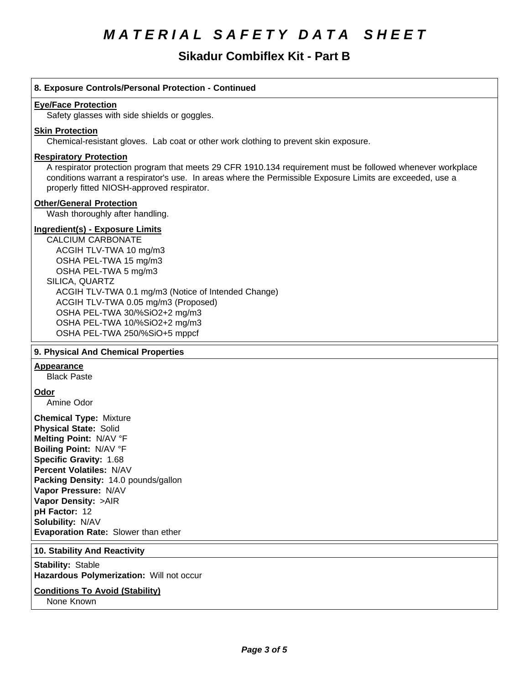# **Sikadur Combiflex Kit - Part B**

| 8. Exposure Controls/Personal Protection - Continued                                                                                                                                                                                                                                                                                                             |
|------------------------------------------------------------------------------------------------------------------------------------------------------------------------------------------------------------------------------------------------------------------------------------------------------------------------------------------------------------------|
| <b>Eye/Face Protection</b><br>Safety glasses with side shields or goggles.                                                                                                                                                                                                                                                                                       |
| <b>Skin Protection</b><br>Chemical-resistant gloves. Lab coat or other work clothing to prevent skin exposure.                                                                                                                                                                                                                                                   |
| <b>Respiratory Protection</b><br>A respirator protection program that meets 29 CFR 1910.134 requirement must be followed whenever workplace<br>conditions warrant a respirator's use. In areas where the Permissible Exposure Limits are exceeded, use a<br>properly fitted NIOSH-approved respirator.                                                           |
| <b>Other/General Protection</b><br>Wash thoroughly after handling.                                                                                                                                                                                                                                                                                               |
| <b>Ingredient(s) - Exposure Limits</b><br><b>CALCIUM CARBONATE</b><br>ACGIH TLV-TWA 10 mg/m3<br>OSHA PEL-TWA 15 mg/m3<br>OSHA PEL-TWA 5 mg/m3<br>SILICA, QUARTZ<br>ACGIH TLV-TWA 0.1 mg/m3 (Notice of Intended Change)<br>ACGIH TLV-TWA 0.05 mg/m3 (Proposed)<br>OSHA PEL-TWA 30/%SiO2+2 mg/m3<br>OSHA PEL-TWA 10/%SiO2+2 mg/m3<br>OSHA PEL-TWA 250/%SiO+5 mppcf |
| 9. Physical And Chemical Properties                                                                                                                                                                                                                                                                                                                              |
| <b>Appearance</b><br><b>Black Paste</b>                                                                                                                                                                                                                                                                                                                          |
| <u>Odor</u><br>Amine Odor                                                                                                                                                                                                                                                                                                                                        |
| <b>Chemical Type: Mixture</b><br><b>Physical State: Solid</b><br>Melting Point: N/AV °F<br>Boiling Point: N/AV °F<br>Specific Gravity: 1.68<br><b>Percent Volatiles: N/AV</b><br>Packing Density: 14.0 pounds/gallon<br>Vapor Pressure: N/AV<br>Vapor Density: >AIR<br>pH Factor: 12<br>Solubility: N/AV<br>Evaporation Rate: Slower than ether                  |
| 10. Stability And Reactivity                                                                                                                                                                                                                                                                                                                                     |
| <b>Stability: Stable</b><br>Hazardous Polymerization: Will not occur                                                                                                                                                                                                                                                                                             |
| <b>Conditions To Avoid (Stability)</b>                                                                                                                                                                                                                                                                                                                           |

None Known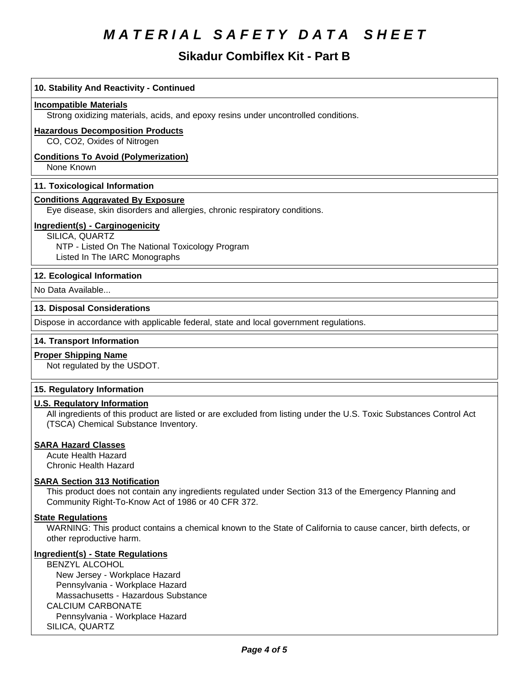## **Sikadur Combiflex Kit - Part B**

| 10. Stability And Reactivity - Continued                                                                            |
|---------------------------------------------------------------------------------------------------------------------|
| <b>Incompatible Materials</b>                                                                                       |
| Strong oxidizing materials, acids, and epoxy resins under uncontrolled conditions.                                  |
| <b>Hazardous Decomposition Products</b>                                                                             |
| CO, CO2, Oxides of Nitrogen                                                                                         |
| <b>Conditions To Avoid (Polymerization)</b>                                                                         |
| None Known                                                                                                          |
| 11. Toxicological Information                                                                                       |
| <b>Conditions Aggravated By Exposure</b>                                                                            |
| Eye disease, skin disorders and allergies, chronic respiratory conditions.                                          |
| Ingredient(s) - Carginogenicity                                                                                     |
| SILICA, QUARTZ                                                                                                      |
| NTP - Listed On The National Toxicology Program<br>Listed In The IARC Monographs                                    |
|                                                                                                                     |
| 12. Ecological Information                                                                                          |
| No Data Available                                                                                                   |
| 13. Disposal Considerations                                                                                         |
| Dispose in accordance with applicable federal, state and local government regulations.                              |
| 14. Transport Information                                                                                           |
| <b>Proper Shipping Name</b>                                                                                         |
| Not regulated by the USDOT.                                                                                         |
| 15. Regulatory Information                                                                                          |
| <b>U.S. Regulatory Information</b>                                                                                  |
| All ingredients of this product are listed or are excluded from listing under the U.S. Toxic Substances Control Act |
| (TSCA) Chemical Substance Inventory.                                                                                |
| <b>SARA Hazard Classes</b>                                                                                          |
| <b>Acute Health Hazard</b>                                                                                          |
| <b>Chronic Health Hazard</b>                                                                                        |
|                                                                                                                     |

### **SARA Section 313 Notification**

This product does not contain any ingredients regulated under Section 313 of the Emergency Planning and Community Right-To-Know Act of 1986 or 40 CFR 372.

### **State Regulations**

WARNING: This product contains a chemical known to the State of California to cause cancer, birth defects, or other reproductive harm.

### **Ingredient(s) - State Regulations**

BENZYL ALCOHOL New Jersey - Workplace Hazard Pennsylvania - Workplace Hazard Massachusetts - Hazardous Substance CALCIUM CARBONATE Pennsylvania - Workplace Hazard SILICA, QUARTZ